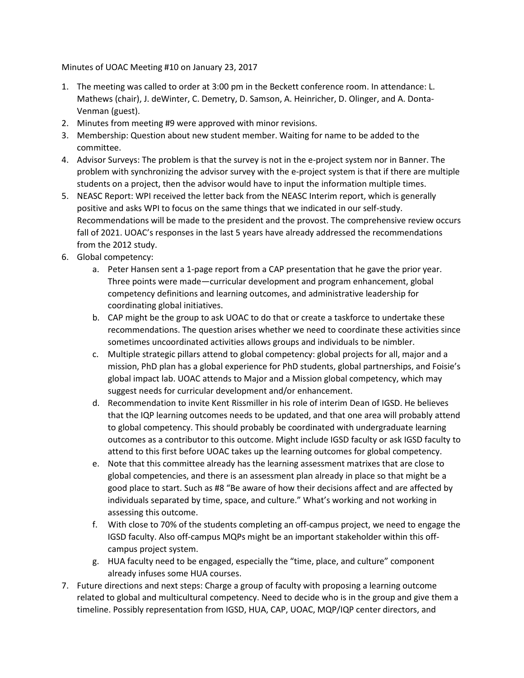Minutes of UOAC Meeting #10 on January 23, 2017

- 1. The meeting was called to order at 3:00 pm in the Beckett conference room. In attendance: L. Mathews (chair), J. deWinter, C. Demetry, D. Samson, A. Heinricher, D. Olinger, and A. Donta-Venman (guest).
- 2. Minutes from meeting #9 were approved with minor revisions.
- 3. Membership: Question about new student member. Waiting for name to be added to the committee.
- 4. Advisor Surveys: The problem is that the survey is not in the e-project system nor in Banner. The problem with synchronizing the advisor survey with the e-project system is that if there are multiple students on a project, then the advisor would have to input the information multiple times.
- 5. NEASC Report: WPI received the letter back from the NEASC Interim report, which is generally positive and asks WPI to focus on the same things that we indicated in our self-study. Recommendations will be made to the president and the provost. The comprehensive review occurs fall of 2021. UOAC's responses in the last 5 years have already addressed the recommendations from the 2012 study.
- 6. Global competency:
	- a. Peter Hansen sent a 1-page report from a CAP presentation that he gave the prior year. Three points were made—curricular development and program enhancement, global competency definitions and learning outcomes, and administrative leadership for coordinating global initiatives.
	- b. CAP might be the group to ask UOAC to do that or create a taskforce to undertake these recommendations. The question arises whether we need to coordinate these activities since sometimes uncoordinated activities allows groups and individuals to be nimbler.
	- c. Multiple strategic pillars attend to global competency: global projects for all, major and a mission, PhD plan has a global experience for PhD students, global partnerships, and Foisie's global impact lab. UOAC attends to Major and a Mission global competency, which may suggest needs for curricular development and/or enhancement.
	- d. Recommendation to invite Kent Rissmiller in his role of interim Dean of IGSD. He believes that the IQP learning outcomes needs to be updated, and that one area will probably attend to global competency. This should probably be coordinated with undergraduate learning outcomes as a contributor to this outcome. Might include IGSD faculty or ask IGSD faculty to attend to this first before UOAC takes up the learning outcomes for global competency.
	- e. Note that this committee already has the learning assessment matrixes that are close to global competencies, and there is an assessment plan already in place so that might be a good place to start. Such as #8 "Be aware of how their decisions affect and are affected by individuals separated by time, space, and culture." What's working and not working in assessing this outcome.
	- f. With close to 70% of the students completing an off-campus project, we need to engage the IGSD faculty. Also off-campus MQPs might be an important stakeholder within this offcampus project system.
	- g. HUA faculty need to be engaged, especially the "time, place, and culture" component already infuses some HUA courses.
- 7. Future directions and next steps: Charge a group of faculty with proposing a learning outcome related to global and multicultural competency. Need to decide who is in the group and give them a timeline. Possibly representation from IGSD, HUA, CAP, UOAC, MQP/IQP center directors, and